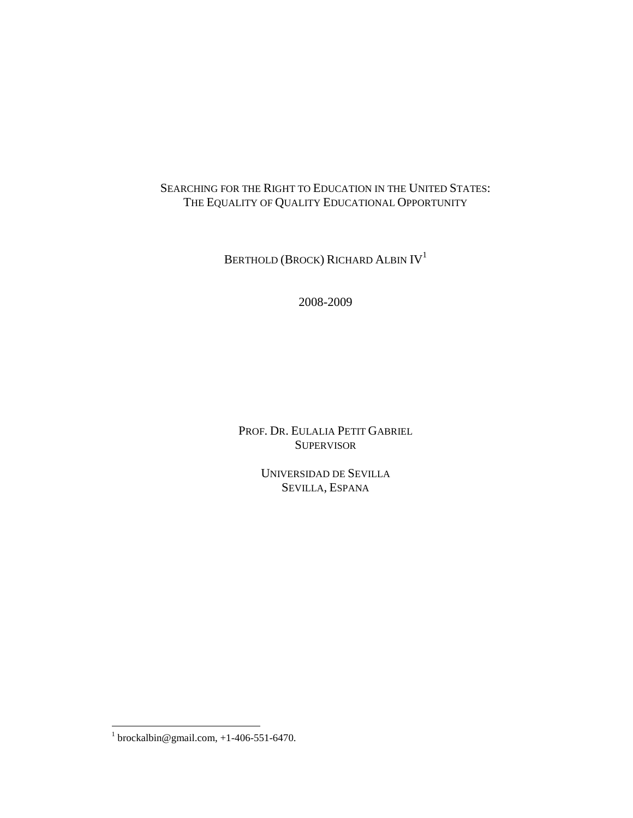## SEARCHING FOR THE RIGHT TO EDUCATION IN THE UNITED STATES: THE EQUALITY OF QUALITY EDUCATIONAL OPPORTUNITY

 $\textsc{Bertholb}$  (Brock) Richard Albin  $\text{IV}^1$ 

2008-2009

PROF. DR. EULALIA PETIT GABRIEL **SUPERVISOR** 

> UNIVERSIDAD DE SEVILLA SEVILLA, ESPANA

 $\mathbb{R}^n$ 

 1 brockalbin@gmail.com, +1-406-551-6470.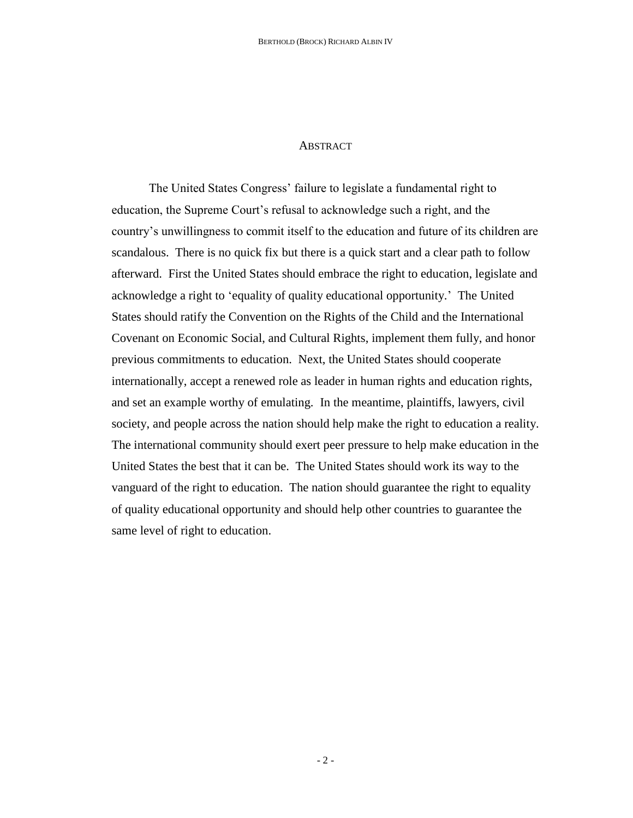## **ABSTRACT**

The United States Congress' failure to legislate a fundamental right to education, the Supreme Court's refusal to acknowledge such a right, and the country's unwillingness to commit itself to the education and future of its children are scandalous. There is no quick fix but there is a quick start and a clear path to follow afterward. First the United States should embrace the right to education, legislate and acknowledge a right to 'equality of quality educational opportunity.' The United States should ratify the Convention on the Rights of the Child and the International Covenant on Economic Social, and Cultural Rights, implement them fully, and honor previous commitments to education. Next, the United States should cooperate internationally, accept a renewed role as leader in human rights and education rights, and set an example worthy of emulating. In the meantime, plaintiffs, lawyers, civil society, and people across the nation should help make the right to education a reality. The international community should exert peer pressure to help make education in the United States the best that it can be. The United States should work its way to the vanguard of the right to education. The nation should guarantee the right to equality of quality educational opportunity and should help other countries to guarantee the same level of right to education.